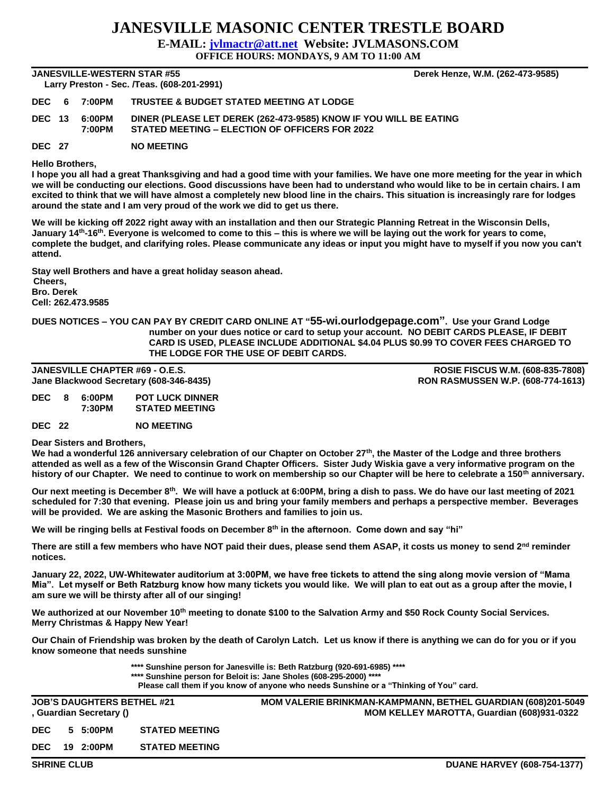## **JANESVILLE MASONIC CENTER TRESTLE BOARD**

**E-MAIL: [jvlmactr@att.net](mailto:jvlmactr@att.net) Website: JVLMASONS.COM**

**OFFICE HOURS: MONDAYS, 9 AM TO 11:00 AM**

**JANESVILLE-WESTERN STAR #55 Derek Henze, W.M. (262-473-9585) Larry Preston - Sec. /Teas. (608-201-2991)** 

| <b>Lally Fieston - Sec. / I eas. (000-201-2991)</b> |                         |                                                                                                                     |  |  |  |  |  |  |  |
|-----------------------------------------------------|-------------------------|---------------------------------------------------------------------------------------------------------------------|--|--|--|--|--|--|--|
|                                                     | <b>DEC 6 7:00PM</b>     | <b>TRUSTEE &amp; BUDGET STATED MEETING AT LODGE</b>                                                                 |  |  |  |  |  |  |  |
|                                                     | DEC 13 6:00PM<br>7:00PM | DINER (PLEASE LET DEREK (262-473-9585) KNOW IF YOU WILL BE EATING<br>STATED MEETING - ELECTION OF OFFICERS FOR 2022 |  |  |  |  |  |  |  |
|                                                     |                         |                                                                                                                     |  |  |  |  |  |  |  |

**DEC 27 NO MEETING**

**Hello Brothers,**

**I hope you all had a great Thanksgiving and had a good time with your families. We have one more meeting for the year in which we will be conducting our elections. Good discussions have been had to understand who would like to be in certain chairs. I am excited to think that we will have almost a completely new blood line in the chairs. This situation is increasingly rare for lodges around the state and I am very proud of the work we did to get us there.**

**We will be kicking off 2022 right away with an installation and then our Strategic Planning Retreat in the Wisconsin Dells, January 14th-16th. Everyone is welcomed to come to this – this is where we will be laying out the work for years to come, complete the budget, and clarifying roles. Please communicate any ideas or input you might have to myself if you now you can't attend.**

**Stay well Brothers and have a great holiday season ahead. Cheers, Bro. Derek Cell: 262.473.9585**

## **DUES NOTICES – YOU CAN PAY BY CREDIT CARD ONLINE AT "55-wi.ourlodgepage.com". Use your Grand Lodge number on your dues notice or card to setup your account. NO DEBIT CARDS PLEASE, IF DEBIT CARD IS USED, PLEASE INCLUDE ADDITIONAL \$4.04 PLUS \$0.99 TO COVER FEES CHARGED TO THE LODGE FOR THE USE OF DEBIT CARDS.**

**JANESVILLE CHAPTER #69 - O.E.S. ROSIE FISCUS W.M. (608-835-7808) Jane Blackwood Secretary (608-346-8435) RON RASMUSSEN W.P. (608-774-1613)**

**DEC 8 6:00PM POT LUCK DINNER 7:30PM STATED MEETING**

**DEC 22 NO MEETING**

**Dear Sisters and Brothers,**

**We had a wonderful 126 anniversary celebration of our Chapter on October 27th, the Master of the Lodge and three brothers attended as well as a few of the Wisconsin Grand Chapter Officers. Sister Judy Wiskia gave a very informative program on the history of our Chapter. We need to continue to work on membership so our Chapter will be here to celebrate a 150th anniversary.**

**Our next meeting is December 8th. We will have a potluck at 6:00PM, bring a dish to pass. We do have our last meeting of 2021 scheduled for 7:30 that evening. Please join us and bring your family members and perhaps a perspective member. Beverages will be provided. We are asking the Masonic Brothers and families to join us.**

**We will be ringing bells at Festival foods on December 8th in the afternoon. Come down and say "hi"**

**There are still a few members who have NOT paid their dues, please send them ASAP, it costs us money to send 2nd reminder notices.**

**January 22, 2022, UW-Whitewater auditorium at 3:00PM, we have free tickets to attend the sing along movie version of "Mama Mia". Let myself or Beth Ratzburg know how many tickets you would like. We will plan to eat out as a group after the movie, I am sure we will be thirsty after all of our singing!**

**We authorized at our November 10th meeting to donate \$100 to the Salvation Army and \$50 Rock County Social Services. Merry Christmas & Happy New Year!**

**Our Chain of Friendship was broken by the death of Carolyn Latch. Let us know if there is anything we can do for you or if you know someone that needs sunshine**

**\*\*\*\* Sunshine person for Janesville is: Beth Ratzburg (920-691-6985) \*\*\*\***

**\*\*\*\* Sunshine person for Beloit is: Jane Sholes (608-295-2000) \*\*\*\***

**Please call them if you know of anyone who needs Sunshine or a "Thinking of You" card.**

**JOB'S DAUGHTERS BETHEL #21 MOM VALERIE BRINKMAN-KAMPMANN, BETHEL GUARDIAN (608)201-5049 , Guardian Secretary () MOM KELLEY MAROTTA, Guardian (608)931-0322 DEC 5 5:00PM STATED MEETING DEC 19 2:00PM STATED MEETING**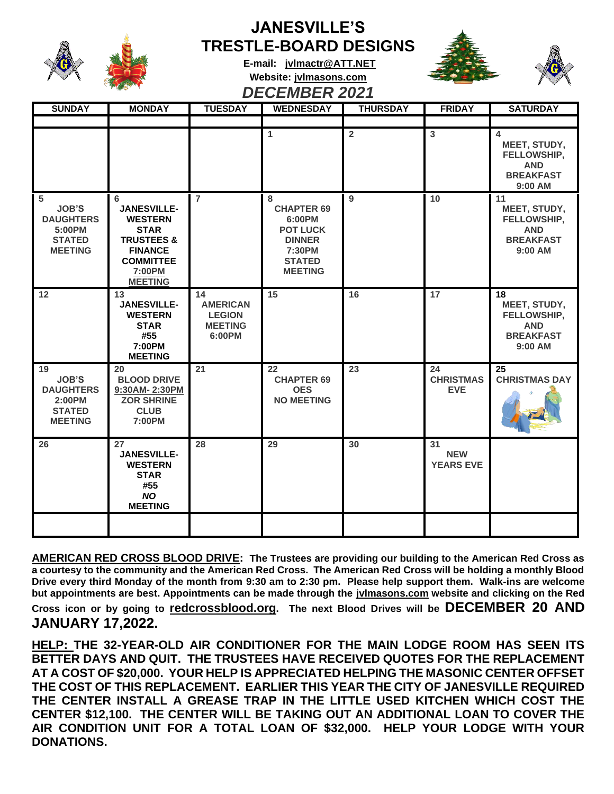

## **JANESVILLE'S TRESTLE-BOARD DESIGNS**





**E-mail: [jvlmactr@ATT.NET](mailto:jvlmactr@ATT.NET) Website: jvlmasons.com** *DECEMBER 2021*

| <b>SUNDAY</b>                                                                       | <b>MONDAY</b>                                                                                                                                       | <b>TUESDAY</b>                                                     | <b>WEDNESDAY</b>                                                                                                  | <b>THURSDAY</b> | <b>FRIDAY</b>                        | <b>SATURDAY</b>                                                                  |
|-------------------------------------------------------------------------------------|-----------------------------------------------------------------------------------------------------------------------------------------------------|--------------------------------------------------------------------|-------------------------------------------------------------------------------------------------------------------|-----------------|--------------------------------------|----------------------------------------------------------------------------------|
|                                                                                     |                                                                                                                                                     |                                                                    |                                                                                                                   |                 |                                      |                                                                                  |
|                                                                                     |                                                                                                                                                     |                                                                    | 1                                                                                                                 | $\overline{2}$  | 3                                    | 4<br>MEET, STUDY,<br>FELLOWSHIP,<br><b>AND</b><br><b>BREAKFAST</b><br>9:00 AM    |
| 5<br><b>JOB'S</b><br><b>DAUGHTERS</b><br>5:00PM<br><b>STATED</b><br><b>MEETING</b>  | 6<br><b>JANESVILLE-</b><br><b>WESTERN</b><br><b>STAR</b><br><b>TRUSTEES &amp;</b><br><b>FINANCE</b><br><b>COMMITTEE</b><br>7:00PM<br><b>MEETING</b> | $\overline{7}$                                                     | 8<br><b>CHAPTER 69</b><br>6:00PM<br><b>POT LUCK</b><br><b>DINNER</b><br>7:30PM<br><b>STATED</b><br><b>MEETING</b> | 9               | 10                                   | 11<br>MEET, STUDY,<br>FELLOWSHIP,<br><b>AND</b><br><b>BREAKFAST</b><br>$9:00$ AM |
| 12                                                                                  | 13<br><b>JANESVILLE-</b><br><b>WESTERN</b><br><b>STAR</b><br>#55<br>7:00PM<br><b>MEETING</b>                                                        | 14<br><b>AMERICAN</b><br><b>LEGION</b><br><b>MEETING</b><br>6:00PM | 15                                                                                                                | 16              | 17                                   | 18<br>MEET, STUDY,<br>FELLOWSHIP,<br><b>AND</b><br><b>BREAKFAST</b><br>9:00 AM   |
| 19<br><b>JOB'S</b><br><b>DAUGHTERS</b><br>2:00PM<br><b>STATED</b><br><b>MEETING</b> | 20<br><b>BLOOD DRIVE</b><br>9:30AM-2:30PM<br><b>ZOR SHRINE</b><br><b>CLUB</b><br>7:00PM                                                             | 21                                                                 | 22<br><b>CHAPTER 69</b><br><b>OES</b><br><b>NO MEETING</b>                                                        | 23              | 24<br><b>CHRISTMAS</b><br><b>EVE</b> | 25<br><b>CHRISTMAS DAY</b>                                                       |
| 26                                                                                  | 27<br><b>JANESVILLE-</b><br><b>WESTERN</b><br><b>STAR</b><br>#55<br><b>NO</b><br><b>MEETING</b>                                                     | 28                                                                 | 29                                                                                                                | 30              | 31<br><b>NEW</b><br><b>YEARS EVE</b> |                                                                                  |
|                                                                                     |                                                                                                                                                     |                                                                    |                                                                                                                   |                 |                                      |                                                                                  |

**AMERICAN RED CROSS BLOOD DRIVE: The Trustees are providing our building to the American Red Cross as a courtesy to the community and the American Red Cross. The American Red Cross will be holding a monthly Blood Drive every third Monday of the month from 9:30 am to 2:30 pm. Please help support them. Walk-ins are welcome but appointments are best. Appointments can be made through the jvlmasons.com website and clicking on the Red Cross icon or by going to redcrossblood.org. The next Blood Drives will be DECEMBER 20 AND JANUARY 17,2022.** 

**HELP: THE 32-YEAR-OLD AIR CONDITIONER FOR THE MAIN LODGE ROOM HAS SEEN ITS BETTER DAYS AND QUIT. THE TRUSTEES HAVE RECEIVED QUOTES FOR THE REPLACEMENT AT A COST OF \$20,000. YOUR HELP IS APPRECIATED HELPING THE MASONIC CENTER OFFSET THE COST OF THIS REPLACEMENT. EARLIER THIS YEAR THE CITY OF JANESVILLE REQUIRED THE CENTER INSTALL A GREASE TRAP IN THE LITTLE USED KITCHEN WHICH COST THE CENTER \$12,100. THE CENTER WILL BE TAKING OUT AN ADDITIONAL LOAN TO COVER THE AIR CONDITION UNIT FOR A TOTAL LOAN OF \$32,000. HELP YOUR LODGE WITH YOUR DONATIONS.**